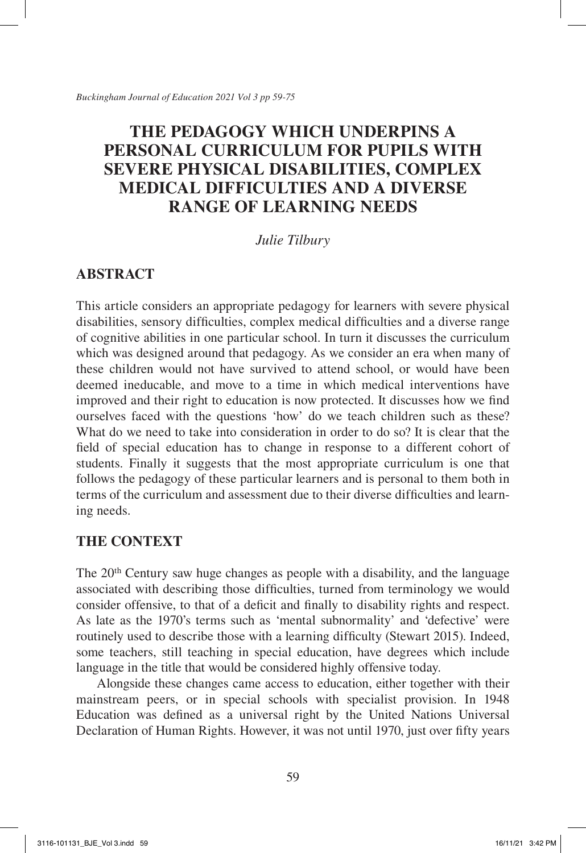# **THE PEDAGOGY WHICH UNDERPINS A PERSONAL CURRICULUM FOR PUPILS WITH SEVERE PHYSICAL DISABILITIES, COMPLEX MEDICAL DIFFICULTIES AND A DIVERSE RANGE OF LEARNING NEEDS**

### *Julie Tilbury*

## **ABSTRACT**

This article considers an appropriate pedagogy for learners with severe physical disabilities, sensory difficulties, complex medical difficulties and a diverse range of cognitive abilities in one particular school. In turn it discusses the curriculum which was designed around that pedagogy. As we consider an era when many of these children would not have survived to attend school, or would have been deemed ineducable, and move to a time in which medical interventions have improved and their right to education is now protected. It discusses how we find ourselves faced with the questions 'how' do we teach children such as these? What do we need to take into consideration in order to do so? It is clear that the field of special education has to change in response to a different cohort of students. Finally it suggests that the most appropriate curriculum is one that follows the pedagogy of these particular learners and is personal to them both in terms of the curriculum and assessment due to their diverse difficulties and learning needs.

## **THE CONTEXT**

The 20<sup>th</sup> Century saw huge changes as people with a disability, and the language associated with describing those difficulties, turned from terminology we would consider offensive, to that of a deficit and finally to disability rights and respect. As late as the 1970's terms such as 'mental subnormality' and 'defective' were routinely used to describe those with a learning difficulty (Stewart 2015). Indeed, some teachers, still teaching in special education, have degrees which include language in the title that would be considered highly offensive today.

Alongside these changes came access to education, either together with their mainstream peers, or in special schools with specialist provision. In 1948 Education was defined as a universal right by the United Nations Universal Declaration of Human Rights. However, it was not until 1970, just over fifty years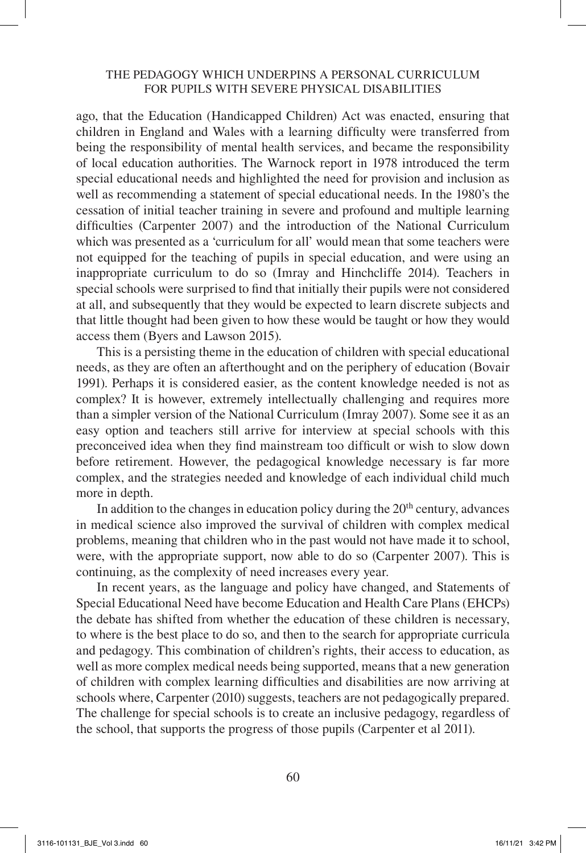ago, that the Education (Handicapped Children) Act was enacted, ensuring that children in England and Wales with a learning difficulty were transferred from being the responsibility of mental health services, and became the responsibility of local education authorities. The Warnock report in 1978 introduced the term special educational needs and highlighted the need for provision and inclusion as well as recommending a statement of special educational needs. In the 1980's the cessation of initial teacher training in severe and profound and multiple learning difficulties (Carpenter 2007) and the introduction of the National Curriculum which was presented as a 'curriculum for all' would mean that some teachers were not equipped for the teaching of pupils in special education, and were using an inappropriate curriculum to do so (Imray and Hinchcliffe 2014). Teachers in special schools were surprised to find that initially their pupils were not considered at all, and subsequently that they would be expected to learn discrete subjects and that little thought had been given to how these would be taught or how they would access them (Byers and Lawson 2015).

This is a persisting theme in the education of children with special educational needs, as they are often an afterthought and on the periphery of education (Bovair 1991). Perhaps it is considered easier, as the content knowledge needed is not as complex? It is however, extremely intellectually challenging and requires more than a simpler version of the National Curriculum (Imray 2007). Some see it as an easy option and teachers still arrive for interview at special schools with this preconceived idea when they find mainstream too difficult or wish to slow down before retirement. However, the pedagogical knowledge necessary is far more complex, and the strategies needed and knowledge of each individual child much more in depth.

In addition to the changes in education policy during the  $20<sup>th</sup>$  century, advances in medical science also improved the survival of children with complex medical problems, meaning that children who in the past would not have made it to school, were, with the appropriate support, now able to do so (Carpenter 2007). This is continuing, as the complexity of need increases every year.

In recent years, as the language and policy have changed, and Statements of Special Educational Need have become Education and Health Care Plans (EHCPs) the debate has shifted from whether the education of these children is necessary, to where is the best place to do so, and then to the search for appropriate curricula and pedagogy. This combination of children's rights, their access to education, as well as more complex medical needs being supported, means that a new generation of children with complex learning difficulties and disabilities are now arriving at schools where, Carpenter (2010) suggests, teachers are not pedagogically prepared. The challenge for special schools is to create an inclusive pedagogy, regardless of the school, that supports the progress of those pupils (Carpenter et al 2011).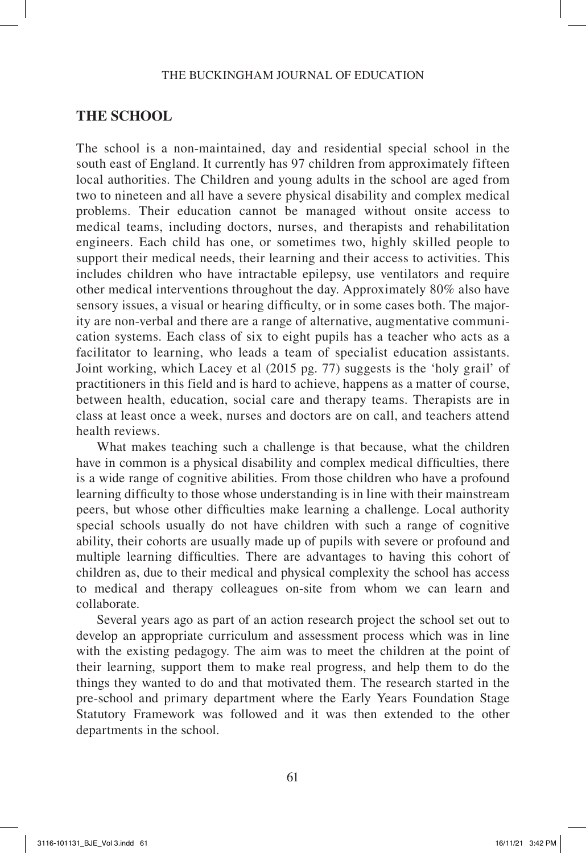### **THE SCHOOL**

The school is a non-maintained, day and residential special school in the south east of England. It currently has 97 children from approximately fifteen local authorities. The Children and young adults in the school are aged from two to nineteen and all have a severe physical disability and complex medical problems. Their education cannot be managed without onsite access to medical teams, including doctors, nurses, and therapists and rehabilitation engineers. Each child has one, or sometimes two, highly skilled people to support their medical needs, their learning and their access to activities. This includes children who have intractable epilepsy, use ventilators and require other medical interventions throughout the day. Approximately 80% also have sensory issues, a visual or hearing difficulty, or in some cases both. The majority are non-verbal and there are a range of alternative, augmentative communication systems. Each class of six to eight pupils has a teacher who acts as a facilitator to learning, who leads a team of specialist education assistants. Joint working, which Lacey et al (2015 pg. 77) suggests is the 'holy grail' of practitioners in this field and is hard to achieve, happens as a matter of course, between health, education, social care and therapy teams. Therapists are in class at least once a week, nurses and doctors are on call, and teachers attend health reviews.

What makes teaching such a challenge is that because, what the children have in common is a physical disability and complex medical difficulties, there is a wide range of cognitive abilities. From those children who have a profound learning difficulty to those whose understanding is in line with their mainstream peers, but whose other difficulties make learning a challenge. Local authority special schools usually do not have children with such a range of cognitive ability, their cohorts are usually made up of pupils with severe or profound and multiple learning difficulties. There are advantages to having this cohort of children as, due to their medical and physical complexity the school has access to medical and therapy colleagues on-site from whom we can learn and collaborate.

Several years ago as part of an action research project the school set out to develop an appropriate curriculum and assessment process which was in line with the existing pedagogy. The aim was to meet the children at the point of their learning, support them to make real progress, and help them to do the things they wanted to do and that motivated them. The research started in the pre-school and primary department where the Early Years Foundation Stage Statutory Framework was followed and it was then extended to the other departments in the school.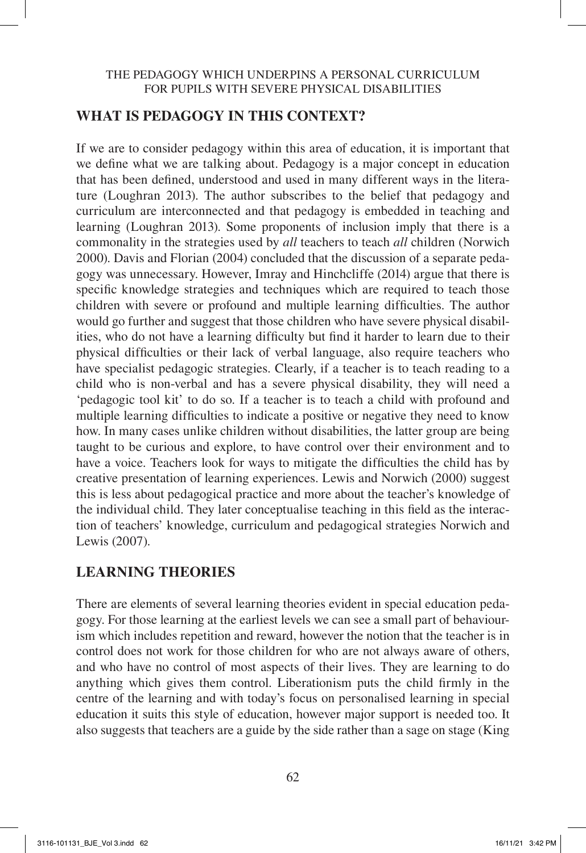## **WHAT IS PEDAGOGY IN THIS CONTEXT?**

If we are to consider pedagogy within this area of education, it is important that we define what we are talking about. Pedagogy is a major concept in education that has been defined, understood and used in many different ways in the literature (Loughran 2013). The author subscribes to the belief that pedagogy and curriculum are interconnected and that pedagogy is embedded in teaching and learning (Loughran 2013). Some proponents of inclusion imply that there is a commonality in the strategies used by *all* teachers to teach *all* children (Norwich 2000). Davis and Florian (2004) concluded that the discussion of a separate pedagogy was unnecessary. However, Imray and Hinchcliffe (2014) argue that there is specific knowledge strategies and techniques which are required to teach those children with severe or profound and multiple learning difficulties. The author would go further and suggest that those children who have severe physical disabilities, who do not have a learning difficulty but find it harder to learn due to their physical difficulties or their lack of verbal language, also require teachers who have specialist pedagogic strategies. Clearly, if a teacher is to teach reading to a child who is non-verbal and has a severe physical disability, they will need a 'pedagogic tool kit' to do so. If a teacher is to teach a child with profound and multiple learning difficulties to indicate a positive or negative they need to know how. In many cases unlike children without disabilities, the latter group are being taught to be curious and explore, to have control over their environment and to have a voice. Teachers look for ways to mitigate the difficulties the child has by creative presentation of learning experiences. Lewis and Norwich (2000) suggest this is less about pedagogical practice and more about the teacher's knowledge of the individual child. They later conceptualise teaching in this field as the interaction of teachers' knowledge, curriculum and pedagogical strategies Norwich and Lewis (2007).

## **LEARNING THEORIES**

There are elements of several learning theories evident in special education pedagogy. For those learning at the earliest levels we can see a small part of behaviourism which includes repetition and reward, however the notion that the teacher is in control does not work for those children for who are not always aware of others, and who have no control of most aspects of their lives. They are learning to do anything which gives them control. Liberationism puts the child firmly in the centre of the learning and with today's focus on personalised learning in special education it suits this style of education, however major support is needed too. It also suggests that teachers are a guide by the side rather than a sage on stage (King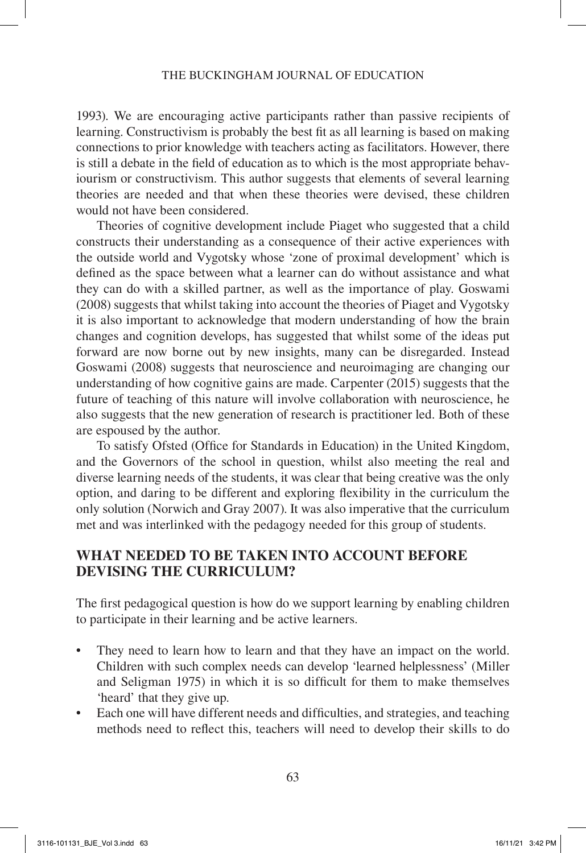#### THE BUCKINGHAM JOURNAL OF EDUCATION

1993). We are encouraging active participants rather than passive recipients of learning. Constructivism is probably the best fit as all learning is based on making connections to prior knowledge with teachers acting as facilitators. However, there is still a debate in the field of education as to which is the most appropriate behaviourism or constructivism. This author suggests that elements of several learning theories are needed and that when these theories were devised, these children would not have been considered.

Theories of cognitive development include Piaget who suggested that a child constructs their understanding as a consequence of their active experiences with the outside world and Vygotsky whose 'zone of proximal development' which is defined as the space between what a learner can do without assistance and what they can do with a skilled partner, as well as the importance of play. Goswami (2008) suggests that whilst taking into account the theories of Piaget and Vygotsky it is also important to acknowledge that modern understanding of how the brain changes and cognition develops, has suggested that whilst some of the ideas put forward are now borne out by new insights, many can be disregarded. Instead Goswami (2008) suggests that neuroscience and neuroimaging are changing our understanding of how cognitive gains are made. Carpenter (2015) suggests that the future of teaching of this nature will involve collaboration with neuroscience, he also suggests that the new generation of research is practitioner led. Both of these are espoused by the author.

To satisfy Ofsted (Office for Standards in Education) in the United Kingdom, and the Governors of the school in question, whilst also meeting the real and diverse learning needs of the students, it was clear that being creative was the only option, and daring to be different and exploring flexibility in the curriculum the only solution (Norwich and Gray 2007). It was also imperative that the curriculum met and was interlinked with the pedagogy needed for this group of students.

### **WHAT NEEDED TO BE TAKEN INTO ACCOUNT BEFORE DEVISING THE CURRICULUM?**

The first pedagogical question is how do we support learning by enabling children to participate in their learning and be active learners.

- They need to learn how to learn and that they have an impact on the world. Children with such complex needs can develop 'learned helplessness' (Miller and Seligman 1975) in which it is so difficult for them to make themselves 'heard' that they give up.
- Each one will have different needs and difficulties, and strategies, and teaching methods need to reflect this, teachers will need to develop their skills to do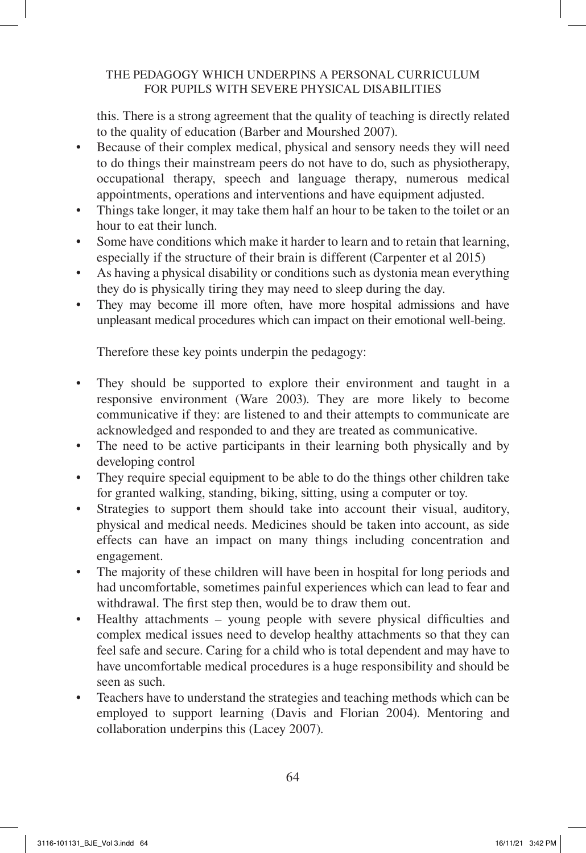this. There is a strong agreement that the quality of teaching is directly related to the quality of education (Barber and Mourshed 2007).

- Because of their complex medical, physical and sensory needs they will need to do things their mainstream peers do not have to do, such as physiotherapy, occupational therapy, speech and language therapy, numerous medical appointments, operations and interventions and have equipment adjusted.
- Things take longer, it may take them half an hour to be taken to the toilet or an hour to eat their lunch.
- Some have conditions which make it harder to learn and to retain that learning, especially if the structure of their brain is different (Carpenter et al 2015)
- As having a physical disability or conditions such as dystonia mean everything they do is physically tiring they may need to sleep during the day.
- They may become ill more often, have more hospital admissions and have unpleasant medical procedures which can impact on their emotional well-being.

Therefore these key points underpin the pedagogy:

- They should be supported to explore their environment and taught in a responsive environment (Ware 2003). They are more likely to become communicative if they: are listened to and their attempts to communicate are acknowledged and responded to and they are treated as communicative.
- The need to be active participants in their learning both physically and by developing control
- They require special equipment to be able to do the things other children take for granted walking, standing, biking, sitting, using a computer or toy.
- Strategies to support them should take into account their visual, auditory, physical and medical needs. Medicines should be taken into account, as side effects can have an impact on many things including concentration and engagement.
- The majority of these children will have been in hospital for long periods and had uncomfortable, sometimes painful experiences which can lead to fear and withdrawal. The first step then, would be to draw them out.
- Healthy attachments young people with severe physical difficulties and complex medical issues need to develop healthy attachments so that they can feel safe and secure. Caring for a child who is total dependent and may have to have uncomfortable medical procedures is a huge responsibility and should be seen as such.
- Teachers have to understand the strategies and teaching methods which can be employed to support learning (Davis and Florian 2004). Mentoring and collaboration underpins this (Lacey 2007).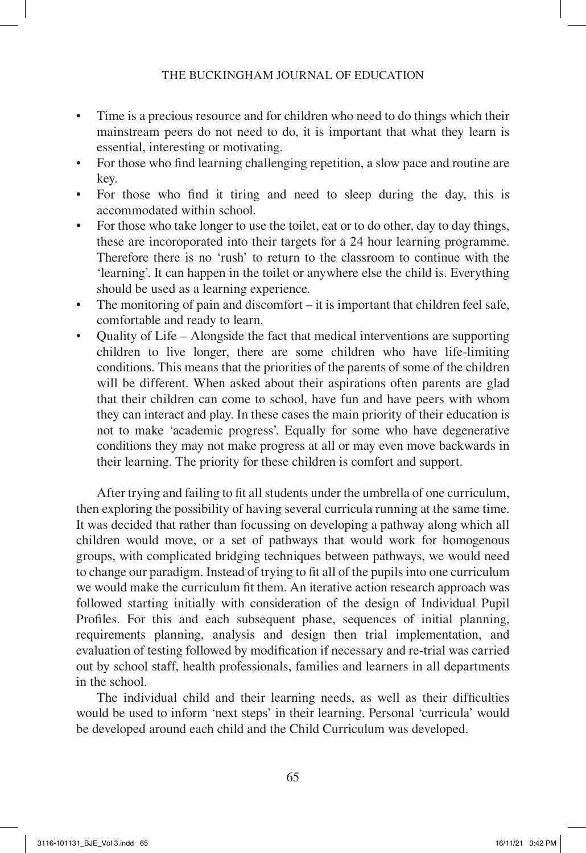- Time is a precious resource and for children who need to do things which their mainstream peers do not need to do, it is important that what they learn is essential, interesting or motivating.
- For those who find learning challenging repetition, a slow pace and routine are key.
- For those who find it tiring and need to sleep during the day, this is accommodated within school.
- For those who take longer to use the toilet, eat or to do other, day to day things, these are incoroporated into their targets for a 24 hour learning programme. Therefore there is no 'rush' to return to the classroom to continue with the 'learning'. It can happen in the toilet or anywhere else the child is. Everything should be used as a learning experience.
- The monitoring of pain and discomfort it is important that children feel safe, comfortable and ready to learn.
- Ouality of Life Alongside the fact that medical interventions are supporting children to live longer, there are some children who have life-limiting conditions. This means that the priorities of the parents of some of the children will be different. When asked about their aspirations often parents are glad that their children can come to school, have fun and have peers with whom they can interact and play. In these cases the main priority of their education is not to make 'academic progress'. Equally for some who have degenerative conditions they may not make progress at all or may even move backwards in their learning. The priority for these children is comfort and support.

After trying and failing to fit all students under the umbrella of one curriculum, then exploring the possibility of having several curricula running at the same time. It was decided that rather than focussing on developing a pathway along which all children would move, or a set of pathways that would work for homogenous groups, with complicated bridging techniques between pathways, we would need to change our paradigm. Instead of trying to fit all of the pupils into one curriculum we would make the curriculum fit them. An iterative action research approach was followed starting initially with consideration of the design of Individual Pupil Profiles. For this and each subsequent phase, sequences of initial planning, requirements planning, analysis and design then trial implementation, and evaluation of testing followed by modification if necessary and re-trial was carried out by school staff, health professionals, families and learners in all departments in the school.

The individual child and their learning needs, as well as their difficulties would be used to inform 'next steps' in their learning. Personal 'curricula' would be developed around each child and the Child Curriculum was developed.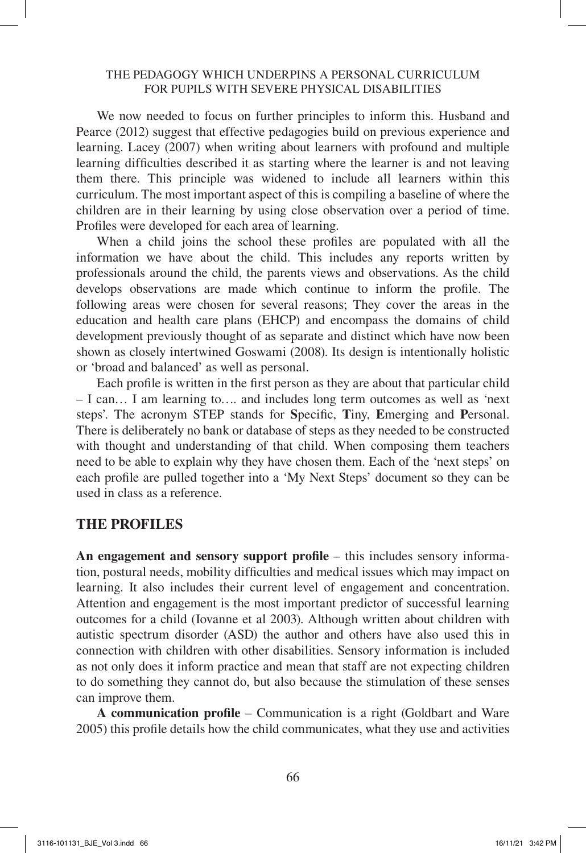We now needed to focus on further principles to inform this. Husband and Pearce (2012) suggest that effective pedagogies build on previous experience and learning. Lacey (2007) when writing about learners with profound and multiple learning difficulties described it as starting where the learner is and not leaving them there. This principle was widened to include all learners within this curriculum. The most important aspect of this is compiling a baseline of where the children are in their learning by using close observation over a period of time. Profiles were developed for each area of learning.

When a child joins the school these profiles are populated with all the information we have about the child. This includes any reports written by professionals around the child, the parents views and observations. As the child develops observations are made which continue to inform the profile. The following areas were chosen for several reasons; They cover the areas in the education and health care plans (EHCP) and encompass the domains of child development previously thought of as separate and distinct which have now been shown as closely intertwined Goswami (2008). Its design is intentionally holistic or 'broad and balanced' as well as personal.

Each profile is written in the first person as they are about that particular child – I can… I am learning to…. and includes long term outcomes as well as 'next steps'. The acronym STEP stands for **S**pecific, **T**iny, **E**merging and **P**ersonal. There is deliberately no bank or database of steps as they needed to be constructed with thought and understanding of that child. When composing them teachers need to be able to explain why they have chosen them. Each of the 'next steps' on each profile are pulled together into a 'My Next Steps' document so they can be used in class as a reference.

### **THE PROFILES**

**An engagement and sensory support profile** – this includes sensory information, postural needs, mobility difficulties and medical issues which may impact on learning. It also includes their current level of engagement and concentration. Attention and engagement is the most important predictor of successful learning outcomes for a child (Iovanne et al 2003). Although written about children with autistic spectrum disorder (ASD) the author and others have also used this in connection with children with other disabilities. Sensory information is included as not only does it inform practice and mean that staff are not expecting children to do something they cannot do, but also because the stimulation of these senses can improve them.

**A communication profile** – Communication is a right (Goldbart and Ware 2005) this profile details how the child communicates, what they use and activities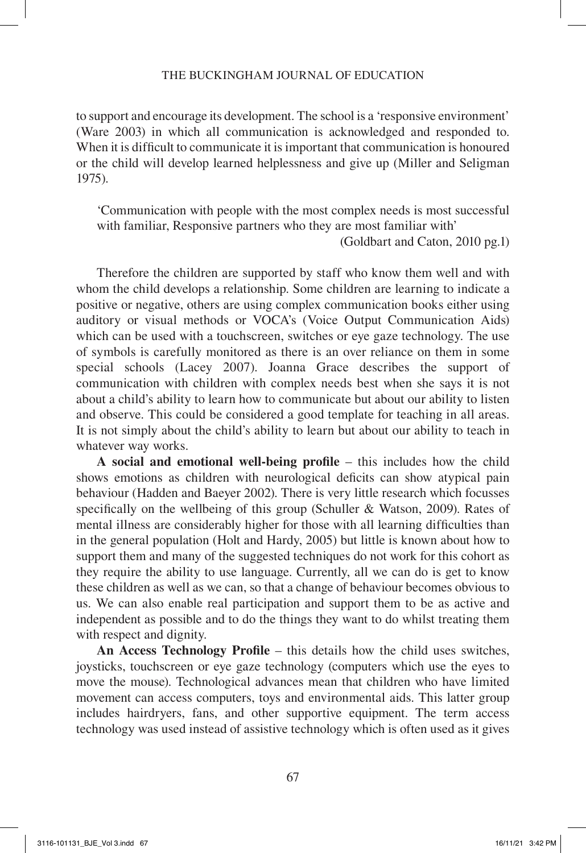#### THE BUCKINGHAM JOURNAL OF EDUCATION

to support and encourage its development. The school is a 'responsive environment' (Ware 2003) in which all communication is acknowledged and responded to. When it is difficult to communicate it is important that communication is honoured or the child will develop learned helplessness and give up (Miller and Seligman 1975).

'Communication with people with the most complex needs is most successful with familiar, Responsive partners who they are most familiar with'

(Goldbart and Caton, 2010 pg.1)

Therefore the children are supported by staff who know them well and with whom the child develops a relationship. Some children are learning to indicate a positive or negative, others are using complex communication books either using auditory or visual methods or VOCA's (Voice Output Communication Aids) which can be used with a touchscreen, switches or eye gaze technology. The use of symbols is carefully monitored as there is an over reliance on them in some special schools (Lacey 2007). Joanna Grace describes the support of communication with children with complex needs best when she says it is not about a child's ability to learn how to communicate but about our ability to listen and observe. This could be considered a good template for teaching in all areas. It is not simply about the child's ability to learn but about our ability to teach in whatever way works.

**A social and emotional well-being profile** – this includes how the child shows emotions as children with neurological deficits can show atypical pain behaviour (Hadden and Baeyer 2002). There is very little research which focusses specifically on the wellbeing of this group (Schuller & Watson, 2009). Rates of mental illness are considerably higher for those with all learning difficulties than in the general population (Holt and Hardy, 2005) but little is known about how to support them and many of the suggested techniques do not work for this cohort as they require the ability to use language. Currently, all we can do is get to know these children as well as we can, so that a change of behaviour becomes obvious to us. We can also enable real participation and support them to be as active and independent as possible and to do the things they want to do whilst treating them with respect and dignity.

**An Access Technology Profile** – this details how the child uses switches, joysticks, touchscreen or eye gaze technology (computers which use the eyes to move the mouse). Technological advances mean that children who have limited movement can access computers, toys and environmental aids. This latter group includes hairdryers, fans, and other supportive equipment. The term access technology was used instead of assistive technology which is often used as it gives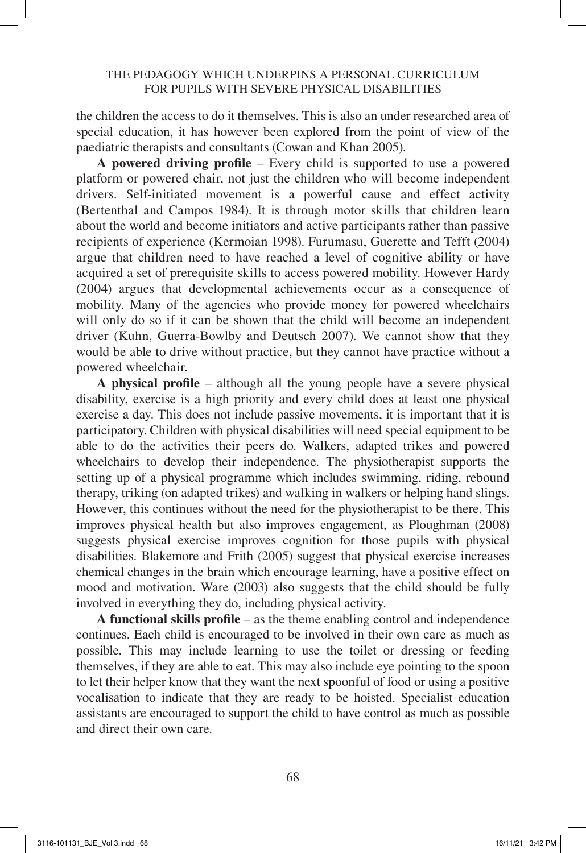the children the access to do it themselves. This is also an under researched area of special education, it has however been explored from the point of view of the paediatric therapists and consultants (Cowan and Khan 2005).

**A powered driving profile** – Every child is supported to use a powered platform or powered chair, not just the children who will become independent drivers. Self-initiated movement is a powerful cause and effect activity (Bertenthal and Campos 1984). It is through motor skills that children learn about the world and become initiators and active participants rather than passive recipients of experience (Kermoian 1998). Furumasu, Guerette and Tefft (2004) argue that children need to have reached a level of cognitive ability or have acquired a set of prerequisite skills to access powered mobility. However Hardy (2004) argues that developmental achievements occur as a consequence of mobility. Many of the agencies who provide money for powered wheelchairs will only do so if it can be shown that the child will become an independent driver (Kuhn, Guerra-Bowlby and Deutsch 2007). We cannot show that they would be able to drive without practice, but they cannot have practice without a powered wheelchair.

**A physical profile** – although all the young people have a severe physical disability, exercise is a high priority and every child does at least one physical exercise a day. This does not include passive movements, it is important that it is participatory. Children with physical disabilities will need special equipment to be able to do the activities their peers do. Walkers, adapted trikes and powered wheelchairs to develop their independence. The physiotherapist supports the setting up of a physical programme which includes swimming, riding, rebound therapy, triking (on adapted trikes) and walking in walkers or helping hand slings. However, this continues without the need for the physiotherapist to be there. This improves physical health but also improves engagement, as Ploughman (2008) suggests physical exercise improves cognition for those pupils with physical disabilities. Blakemore and Frith (2005) suggest that physical exercise increases chemical changes in the brain which encourage learning, have a positive effect on mood and motivation. Ware (2003) also suggests that the child should be fully involved in everything they do, including physical activity.

**A functional skills profile** – as the theme enabling control and independence continues. Each child is encouraged to be involved in their own care as much as possible. This may include learning to use the toilet or dressing or feeding themselves, if they are able to eat. This may also include eye pointing to the spoon to let their helper know that they want the next spoonful of food or using a positive vocalisation to indicate that they are ready to be hoisted. Specialist education assistants are encouraged to support the child to have control as much as possible and direct their own care.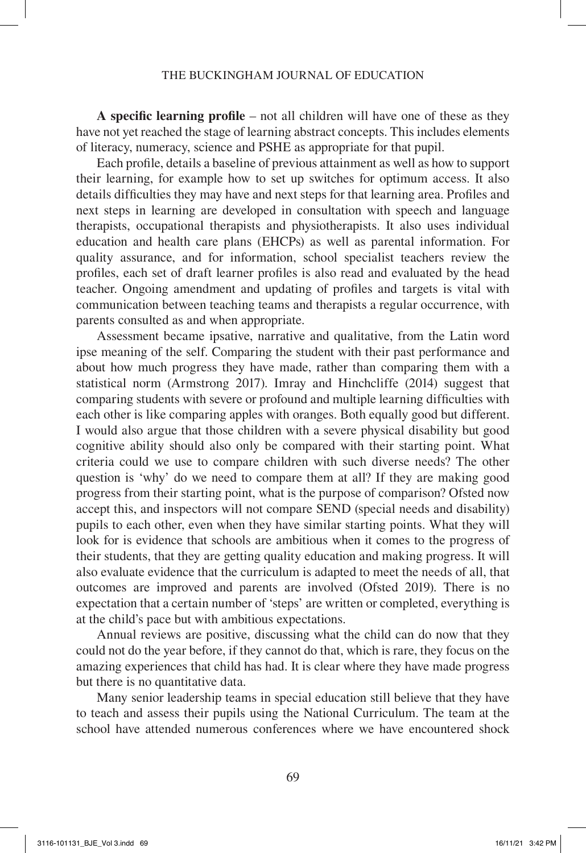#### THE BUCKINGHAM JOURNAL OF EDUCATION

**A specific learning profile** – not all children will have one of these as they have not yet reached the stage of learning abstract concepts. This includes elements of literacy, numeracy, science and PSHE as appropriate for that pupil.

Each profile, details a baseline of previous attainment as well as how to support their learning, for example how to set up switches for optimum access. It also details difficulties they may have and next steps for that learning area. Profiles and next steps in learning are developed in consultation with speech and language therapists, occupational therapists and physiotherapists. It also uses individual education and health care plans (EHCPs) as well as parental information. For quality assurance, and for information, school specialist teachers review the profiles, each set of draft learner profiles is also read and evaluated by the head teacher. Ongoing amendment and updating of profiles and targets is vital with communication between teaching teams and therapists a regular occurrence, with parents consulted as and when appropriate.

Assessment became ipsative, narrative and qualitative, from the Latin word ipse meaning of the self. Comparing the student with their past performance and about how much progress they have made, rather than comparing them with a statistical norm (Armstrong 2017). Imray and Hinchcliffe (2014) suggest that comparing students with severe or profound and multiple learning difficulties with each other is like comparing apples with oranges. Both equally good but different. I would also argue that those children with a severe physical disability but good cognitive ability should also only be compared with their starting point. What criteria could we use to compare children with such diverse needs? The other question is 'why' do we need to compare them at all? If they are making good progress from their starting point, what is the purpose of comparison? Ofsted now accept this, and inspectors will not compare SEND (special needs and disability) pupils to each other, even when they have similar starting points. What they will look for is evidence that schools are ambitious when it comes to the progress of their students, that they are getting quality education and making progress. It will also evaluate evidence that the curriculum is adapted to meet the needs of all, that outcomes are improved and parents are involved (Ofsted 2019). There is no expectation that a certain number of 'steps' are written or completed, everything is at the child's pace but with ambitious expectations.

Annual reviews are positive, discussing what the child can do now that they could not do the year before, if they cannot do that, which is rare, they focus on the amazing experiences that child has had. It is clear where they have made progress but there is no quantitative data.

Many senior leadership teams in special education still believe that they have to teach and assess their pupils using the National Curriculum. The team at the school have attended numerous conferences where we have encountered shock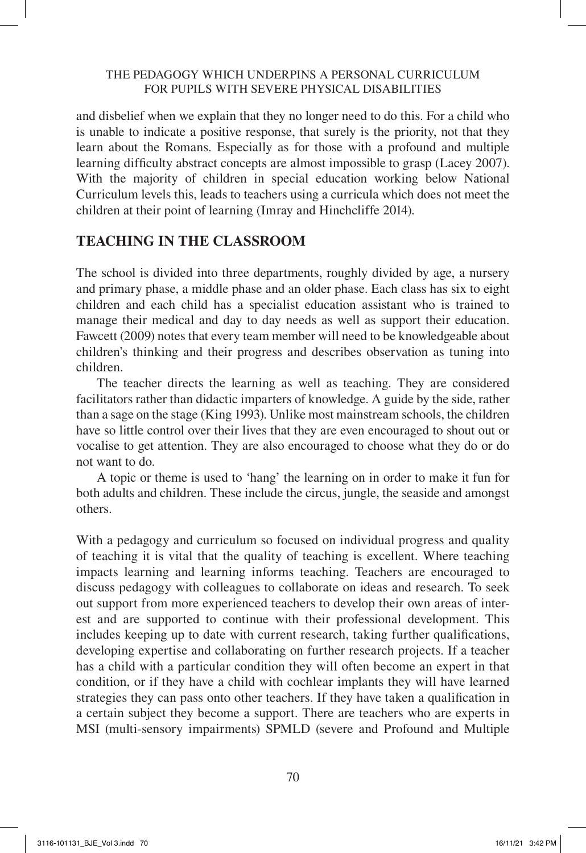and disbelief when we explain that they no longer need to do this. For a child who is unable to indicate a positive response, that surely is the priority, not that they learn about the Romans. Especially as for those with a profound and multiple learning difficulty abstract concepts are almost impossible to grasp (Lacey 2007). With the majority of children in special education working below National Curriculum levels this, leads to teachers using a curricula which does not meet the children at their point of learning (Imray and Hinchcliffe 2014).

## **TEACHING IN THE CLASSROOM**

The school is divided into three departments, roughly divided by age, a nursery and primary phase, a middle phase and an older phase. Each class has six to eight children and each child has a specialist education assistant who is trained to manage their medical and day to day needs as well as support their education. Fawcett (2009) notes that every team member will need to be knowledgeable about children's thinking and their progress and describes observation as tuning into children.

The teacher directs the learning as well as teaching. They are considered facilitators rather than didactic imparters of knowledge. A guide by the side, rather than a sage on the stage (King 1993). Unlike most mainstream schools, the children have so little control over their lives that they are even encouraged to shout out or vocalise to get attention. They are also encouraged to choose what they do or do not want to do.

A topic or theme is used to 'hang' the learning on in order to make it fun for both adults and children. These include the circus, jungle, the seaside and amongst others.

With a pedagogy and curriculum so focused on individual progress and quality of teaching it is vital that the quality of teaching is excellent. Where teaching impacts learning and learning informs teaching. Teachers are encouraged to discuss pedagogy with colleagues to collaborate on ideas and research. To seek out support from more experienced teachers to develop their own areas of interest and are supported to continue with their professional development. This includes keeping up to date with current research, taking further qualifications, developing expertise and collaborating on further research projects. If a teacher has a child with a particular condition they will often become an expert in that condition, or if they have a child with cochlear implants they will have learned strategies they can pass onto other teachers. If they have taken a qualification in a certain subject they become a support. There are teachers who are experts in MSI (multi-sensory impairments) SPMLD (severe and Profound and Multiple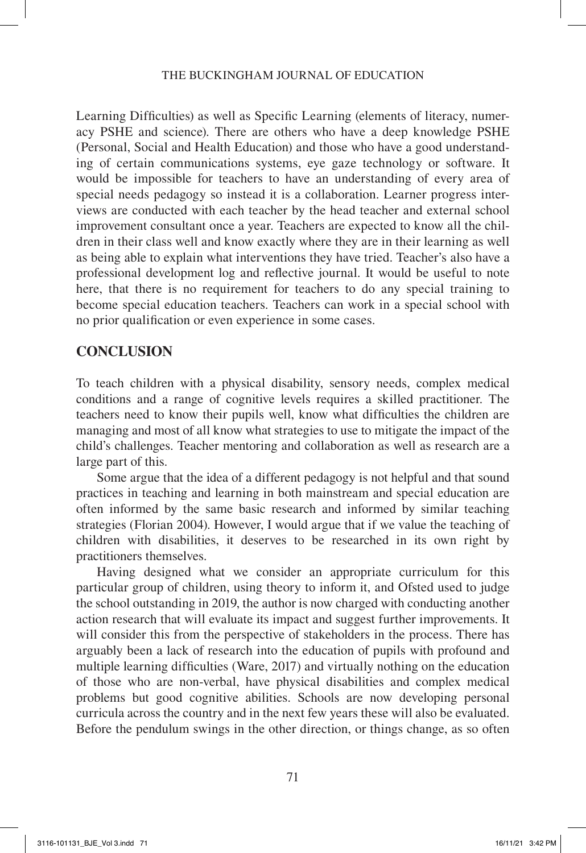Learning Difficulties) as well as Specific Learning (elements of literacy, numeracy PSHE and science). There are others who have a deep knowledge PSHE (Personal, Social and Health Education) and those who have a good understanding of certain communications systems, eye gaze technology or software. It would be impossible for teachers to have an understanding of every area of special needs pedagogy so instead it is a collaboration. Learner progress interviews are conducted with each teacher by the head teacher and external school improvement consultant once a year. Teachers are expected to know all the children in their class well and know exactly where they are in their learning as well as being able to explain what interventions they have tried. Teacher's also have a professional development log and reflective journal. It would be useful to note here, that there is no requirement for teachers to do any special training to become special education teachers. Teachers can work in a special school with no prior qualification or even experience in some cases.

## **CONCLUSION**

To teach children with a physical disability, sensory needs, complex medical conditions and a range of cognitive levels requires a skilled practitioner. The teachers need to know their pupils well, know what difficulties the children are managing and most of all know what strategies to use to mitigate the impact of the child's challenges. Teacher mentoring and collaboration as well as research are a large part of this.

Some argue that the idea of a different pedagogy is not helpful and that sound practices in teaching and learning in both mainstream and special education are often informed by the same basic research and informed by similar teaching strategies (Florian 2004). However, I would argue that if we value the teaching of children with disabilities, it deserves to be researched in its own right by practitioners themselves.

Having designed what we consider an appropriate curriculum for this particular group of children, using theory to inform it, and Ofsted used to judge the school outstanding in 2019, the author is now charged with conducting another action research that will evaluate its impact and suggest further improvements. It will consider this from the perspective of stakeholders in the process. There has arguably been a lack of research into the education of pupils with profound and multiple learning difficulties (Ware, 2017) and virtually nothing on the education of those who are non-verbal, have physical disabilities and complex medical problems but good cognitive abilities. Schools are now developing personal curricula across the country and in the next few years these will also be evaluated. Before the pendulum swings in the other direction, or things change, as so often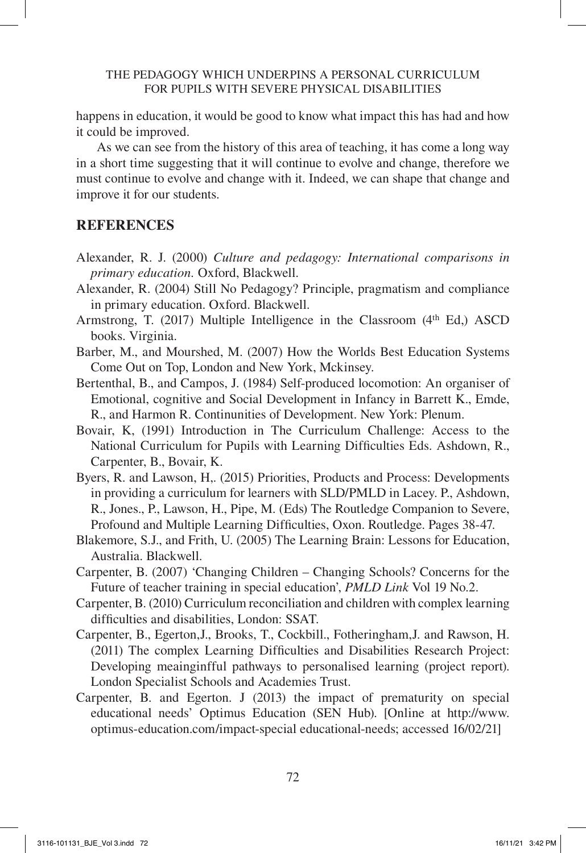happens in education, it would be good to know what impact this has had and how it could be improved.

As we can see from the history of this area of teaching, it has come a long way in a short time suggesting that it will continue to evolve and change, therefore we must continue to evolve and change with it. Indeed, we can shape that change and improve it for our students.

## **REFERENCES**

- Alexander, R. J. (2000) *Culture and pedagogy: International comparisons in primary education.* Oxford, Blackwell.
- Alexander, R. (2004) Still No Pedagogy? Principle, pragmatism and compliance in primary education. Oxford. Blackwell.
- Armstrong, T.  $(2017)$  Multiple Intelligence in the Classroom  $(4<sup>th</sup> Ed)$ , ASCD books. Virginia.
- Barber, M., and Mourshed, M. (2007) How the Worlds Best Education Systems Come Out on Top, London and New York, Mckinsey.
- Bertenthal, B., and Campos, J. (1984) Self-produced locomotion: An organiser of Emotional, cognitive and Social Development in Infancy in Barrett K., Emde, R., and Harmon R. Continunities of Development. New York: Plenum.
- Bovair, K, (1991) Introduction in The Curriculum Challenge: Access to the National Curriculum for Pupils with Learning Difficulties Eds. Ashdown, R., Carpenter, B., Bovair, K.
- Byers, R. and Lawson, H,. (2015) Priorities, Products and Process: Developments in providing a curriculum for learners with SLD/PMLD in Lacey. P., Ashdown, R., Jones., P., Lawson, H., Pipe, M. (Eds) The Routledge Companion to Severe, Profound and Multiple Learning Difficulties, Oxon. Routledge. Pages 38-47.
- Blakemore, S.J., and Frith, U. (2005) The Learning Brain: Lessons for Education, Australia. Blackwell.
- Carpenter, B. (2007) 'Changing Children Changing Schools? Concerns for the Future of teacher training in special education', *PMLD Link* Vol 19 No.2.
- Carpenter, B. (2010) Curriculum reconciliation and children with complex learning difficulties and disabilities, London: SSAT.
- Carpenter, B., Egerton,J., Brooks, T., Cockbill., Fotheringham,J. and Rawson, H. (2011) The complex Learning Difficulties and Disabilities Research Project: Developing meainginfful pathways to personalised learning (project report). London Specialist Schools and Academies Trust.
- Carpenter, B. and Egerton. J (2013) the impact of prematurity on special educational needs' Optimus Education (SEN Hub). [Online at http://www. optimus-education.com/impact-special educational-needs; accessed 16/02/21]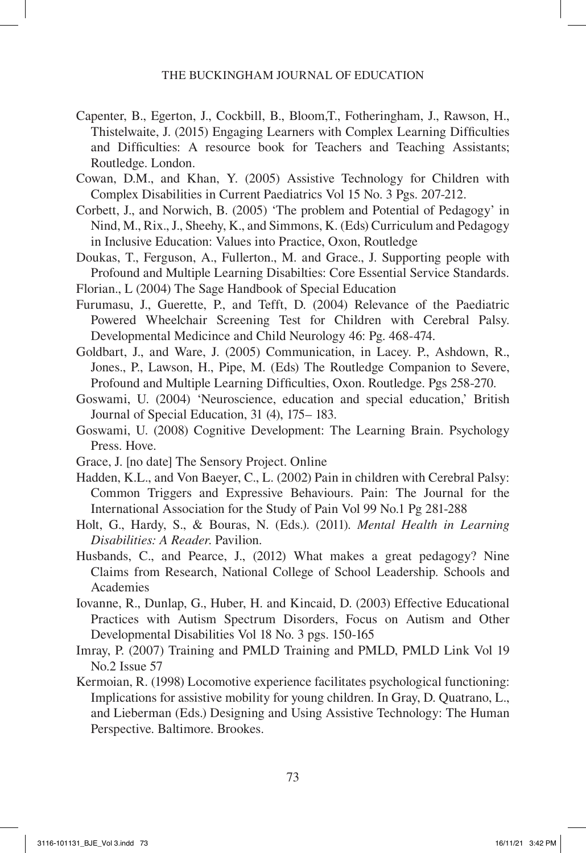- Capenter, B., Egerton, J., Cockbill, B., Bloom,T., Fotheringham, J., Rawson, H., Thistelwaite, J. (2015) Engaging Learners with Complex Learning Difficulties and Difficulties: A resource book for Teachers and Teaching Assistants; Routledge. London.
- Cowan, D.M., and Khan, Y. (2005) Assistive Technology for Children with Complex Disabilities in Current Paediatrics Vol 15 No. 3 Pgs. 207-212.
- Corbett, J., and Norwich, B. (2005) 'The problem and Potential of Pedagogy' in Nind, M., Rix., J., Sheehy, K., and Simmons, K. (Eds) Curriculum and Pedagogy in Inclusive Education: Values into Practice, Oxon, Routledge
- Doukas, T., Ferguson, A., Fullerton., M. and Grace., J. Supporting people with Profound and Multiple Learning Disabilties: Core Essential Service Standards.
- Florian., L (2004) The Sage Handbook of Special Education
- Furumasu, J., Guerette, P., and Tefft, D. (2004) Relevance of the Paediatric Powered Wheelchair Screening Test for Children with Cerebral Palsy. Developmental Medicince and Child Neurology 46: Pg. 468-474.
- Goldbart, J., and Ware, J. (2005) Communication, in Lacey. P., Ashdown, R., Jones., P., Lawson, H., Pipe, M. (Eds) The Routledge Companion to Severe, Profound and Multiple Learning Difficulties, Oxon. Routledge. Pgs 258-270.
- Goswami, U. (2004) 'Neuroscience, education and special education,' British Journal of Special Education, 31 (4), 175– 183.
- Goswami, U. (2008) Cognitive Development: The Learning Brain. Psychology Press. Hove.
- Grace, J. [no date] The Sensory Project. Online
- Hadden, K.L., and Von Baeyer, C., L. (2002) Pain in children with Cerebral Palsy: Common Triggers and Expressive Behaviours. Pain: The Journal for the International Association for the Study of Pain Vol 99 No.1 Pg 281-288
- Holt, G., Hardy, S., & Bouras, N. (Eds.). (2011). *Mental Health in Learning Disabilities: A Reader*. Pavilion.
- Husbands, C., and Pearce, J., (2012) What makes a great pedagogy? Nine Claims from Research, National College of School Leadership. Schools and Academies
- Iovanne, R., Dunlap, G., Huber, H. and Kincaid, D. (2003) Effective Educational Practices with Autism Spectrum Disorders, Focus on Autism and Other Developmental Disabilities Vol 18 No. 3 pgs. 150-165
- Imray, P. (2007) Training and PMLD Training and PMLD, PMLD Link Vol 19 No.2 Issue 57
- Kermoian, R. (1998) Locomotive experience facilitates psychological functioning: Implications for assistive mobility for young children. In Gray, D. Quatrano, L., and Lieberman (Eds.) Designing and Using Assistive Technology: The Human Perspective. Baltimore. Brookes.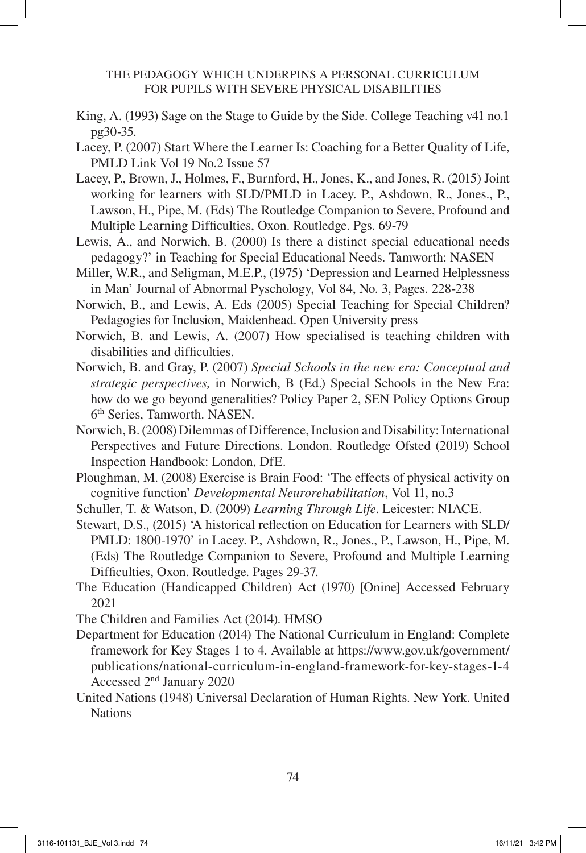- King, A. (1993) Sage on the Stage to Guide by the Side. College Teaching v41 no.1 pg30-35.
- Lacey, P. (2007) Start Where the Learner Is: Coaching for a Better Quality of Life, PMLD Link Vol 19 No.2 Issue 57
- Lacey, P., Brown, J., Holmes, F., Burnford, H., Jones, K., and Jones, R. (2015) Joint working for learners with SLD/PMLD in Lacey. P., Ashdown, R., Jones., P., Lawson, H., Pipe, M. (Eds) The Routledge Companion to Severe, Profound and Multiple Learning Difficulties, Oxon. Routledge. Pgs. 69-79
- Lewis, A., and Norwich, B. (2000) Is there a distinct special educational needs pedagogy?' in Teaching for Special Educational Needs. Tamworth: NASEN
- Miller, W.R., and Seligman, M.E.P., (1975) 'Depression and Learned Helplessness in Man' Journal of Abnormal Pyschology, Vol 84, No. 3, Pages. 228-238
- Norwich, B., and Lewis, A. Eds (2005) Special Teaching for Special Children? Pedagogies for Inclusion, Maidenhead. Open University press
- Norwich, B. and Lewis, A. (2007) How specialised is teaching children with disabilities and difficulties.
- Norwich, B. and Gray, P. (2007) *Special Schools in the new era: Conceptual and strategic perspectives,* in Norwich, B (Ed.) Special Schools in the New Era: how do we go beyond generalities? Policy Paper 2, SEN Policy Options Group 6th Series, Tamworth. NASEN.
- Norwich, B. (2008) Dilemmas of Difference, Inclusion and Disability: International Perspectives and Future Directions. London. Routledge Ofsted (2019) School Inspection Handbook: London, DfE.
- Ploughman, M. (2008) Exercise is Brain Food: 'The effects of physical activity on cognitive function' *Developmental Neurorehabilitation*, Vol 11, no.3
- Schuller, T. & Watson, D. (2009) *Learning Through Life*. Leicester: NIACE.
- Stewart, D.S., (2015) 'A historical reflection on Education for Learners with SLD/ PMLD: 1800-1970' in Lacey. P., Ashdown, R., Jones., P., Lawson, H., Pipe, M. (Eds) The Routledge Companion to Severe, Profound and Multiple Learning Difficulties, Oxon. Routledge. Pages 29-37.
- The Education (Handicapped Children) Act (1970) [Onine] Accessed February 2021
- The Children and Families Act (2014). HMSO
- Department for Education (2014) The National Curriculum in England: Complete framework for Key Stages 1 to 4. Available at https://www.gov.uk/government/ publications/national-curriculum-in-england-framework-for-key-stages-1-4 Accessed 2nd January 2020
- United Nations (1948) Universal Declaration of Human Rights. New York. United **Nations**